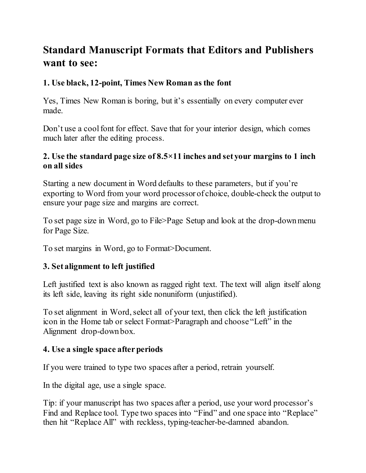# **Standard Manuscript Formats that Editors and Publishers want to see:**

## **1. Use black, 12-point, Times New Roman as the font**

Yes, Times New Roman is boring, but it's essentially on every computer ever made.

Don't use a cool font for effect. Save that for your interior design, which comes much later after the editing process.

#### **2. Use the standard page size of 8.5×11 inches and set your margins to 1 inch on all sides**

Starting a new document in Word defaults to these parameters, but if you're exporting to Word from your word processor of choice, double-check the output to ensure your page size and margins are correct.

To set page size in Word, go to File>Page Setup and look at the drop-down menu for Page Size.

To set margins in Word, go to Format>Document.

# **3. Set alignment to left justified**

Left justified text is also known as ragged right text. The text will align itself along its left side, leaving its right side nonuniform (unjustified).

To set alignment in Word, select all of your text, then click the left justification icon in the Home tab or select Format>Paragraph and choose "Left" in the Alignment drop-down box.

### **4. Use a single space after periods**

If you were trained to type two spaces after a period, retrain yourself.

In the digital age, use a single space.

Tip: if your manuscript has two spaces after a period, use your word processor's Find and Replace tool. Type two spaces into "Find" and one space into "Replace" then hit "Replace All" with reckless, typing-teacher-be-damned abandon.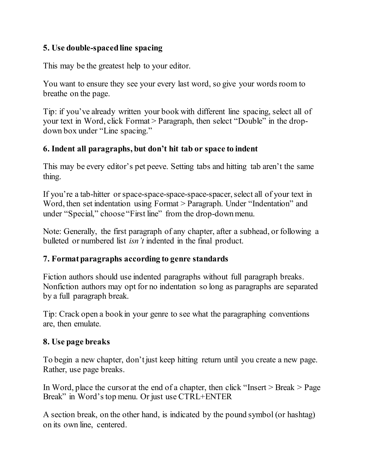### **5. Use double-spaced line spacing**

This may be the greatest help to your editor.

You want to ensure they see your every last word, so give your words room to breathe on the page.

Tip: if you've already written your book with different line spacing, select all of your text in Word, click Format > Paragraph, then select "Double" in the dropdown box under "Line spacing."

### **6. Indent all paragraphs, but don't hit tab or space to indent**

This may be every editor's pet peeve. Setting tabs and hitting tab aren't the same thing.

If you're a tab-hitter or space-space-space-space-spacer, select all of your text in Word, then set indentation using Format > Paragraph. Under "Indentation" and under "Special," choose "First line" from the drop-down menu.

Note: Generally, the first paragraph of any chapter, after a subhead, or following a bulleted or numbered list *isn't* indented in the final product.

### **7. Format paragraphs according to genre standards**

Fiction authors should use indented paragraphs without full paragraph breaks. Nonfiction authors may opt for no indentation so long as paragraphs are separated by a full paragraph break.

Tip: Crack open a book in your genre to see what the paragraphing conventions are, then emulate.

### **8. Use page breaks**

To begin a new chapter, don't just keep hitting return until you create a new page. Rather, use page breaks.

In Word, place the cursor at the end of a chapter, then click "Insert  $>$  Break  $>$  Page Break" in Word's top menu. Or just use CTRL+ENTER

A section break, on the other hand, is indicated by the pound symbol (or hashtag) on its own line, centered.